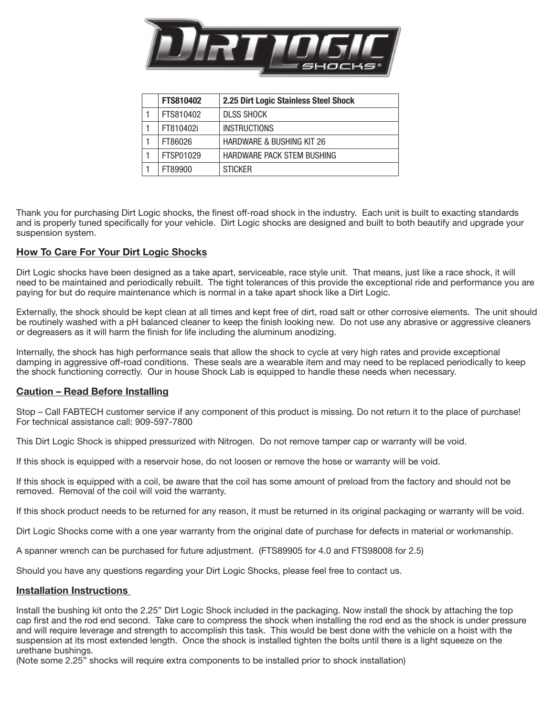

| <b>FTS810402</b> | 2.25 Dirt Logic Stainless Steel Shock |
|------------------|---------------------------------------|
| FTS810402        | <b>DLSS SHOCK</b>                     |
| FT810402i        | <b>INSTRUCTIONS</b>                   |
| FT86026          | <b>HARDWARE &amp; BUSHING KIT 26</b>  |
| FTSP01029        | HARDWARE PACK STEM BUSHING            |
| FT89900          | <b>STICKER</b>                        |

Thank you for purchasing Dirt Logic shocks, the finest off-road shock in the industry. Each unit is built to exacting standards and is properly tuned specifically for your vehicle. Dirt Logic shocks are designed and built to both beautify and upgrade your suspension system.

## How To Care For Your Dirt Logic Shocks

Dirt Logic shocks have been designed as a take apart, serviceable, race style unit. That means, just like a race shock, it will need to be maintained and periodically rebuilt. The tight tolerances of this provide the exceptional ride and performance you are paying for but do require maintenance which is normal in a take apart shock like a Dirt Logic.

Externally, the shock should be kept clean at all times and kept free of dirt, road salt or other corrosive elements. The unit should be routinely washed with a pH balanced cleaner to keep the finish looking new. Do not use any abrasive or aggressive cleaners or degreasers as it will harm the finish for life including the aluminum anodizing.

Internally, the shock has high performance seals that allow the shock to cycle at very high rates and provide exceptional damping in aggressive off-road conditions. These seals are a wearable item and may need to be replaced periodically to keep the shock functioning correctly. Our in house Shock Lab is equipped to handle these needs when necessary.

## Caution – Read Before Installing

Stop – Call FABTECH customer service if any component of this product is missing. Do not return it to the place of purchase! For technical assistance call: 909-597-7800

This Dirt Logic Shock is shipped pressurized with Nitrogen. Do not remove tamper cap or warranty will be void.

If this shock is equipped with a reservoir hose, do not loosen or remove the hose or warranty will be void.

If this shock is equipped with a coil, be aware that the coil has some amount of preload from the factory and should not be removed. Removal of the coil will void the warranty.

If this shock product needs to be returned for any reason, it must be returned in its original packaging or warranty will be void.

Dirt Logic Shocks come with a one year warranty from the original date of purchase for defects in material or workmanship.

A spanner wrench can be purchased for future adjustment. (FTS89905 for 4.0 and FTS98008 for 2.5)

Should you have any questions regarding your Dirt Logic Shocks, please feel free to contact us.

## Installation Instructions

Install the bushing kit onto the 2.25" Dirt Logic Shock included in the packaging. Now install the shock by attaching the top cap first and the rod end second. Take care to compress the shock when installing the rod end as the shock is under pressure and will require leverage and strength to accomplish this task. This would be best done with the vehicle on a hoist with the suspension at its most extended length. Once the shock is installed tighten the bolts until there is a light squeeze on the urethane bushings.

(Note some 2.25" shocks will require extra components to be installed prior to shock installation)